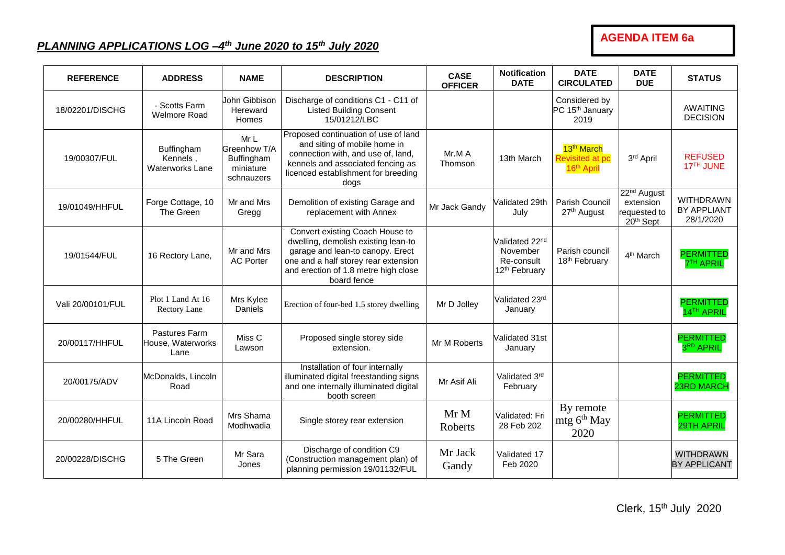## **AGENDA ITEM 6a**

## *PLANNING APPLICATIONS LOG –4 th June 2020 to 15th July 2020*

| <b>REFERENCE</b>  | <b>ADDRESS</b>                                   | <b>NAME</b>                                                  | <b>DESCRIPTION</b>                                                                                                                                                                                        | <b>CASE</b><br><b>OFFICER</b> | <b>Notification</b><br><b>DATE</b>                                                | <b>DATE</b><br><b>CIRCULATED</b>                                    | <b>DATE</b><br><b>DUE</b>                                         | <b>STATUS</b>                                       |
|-------------------|--------------------------------------------------|--------------------------------------------------------------|-----------------------------------------------------------------------------------------------------------------------------------------------------------------------------------------------------------|-------------------------------|-----------------------------------------------------------------------------------|---------------------------------------------------------------------|-------------------------------------------------------------------|-----------------------------------------------------|
| 18/02201/DISCHG   | - Scotts Farm<br><b>Welmore Road</b>             | John Gibbison<br>Hereward<br>Homes                           | Discharge of conditions C1 - C11 of<br><b>Listed Building Consent</b><br>15/01212/LBC                                                                                                                     |                               |                                                                                   | Considered by<br>PC 15 <sup>th</sup> January<br>2019                |                                                                   | <b>AWAITING</b><br><b>DECISION</b>                  |
| 19/00307/FUL      | Buffingham<br>Kennels,<br><b>Waterworks Lane</b> | MrL<br>Greenhow T/A<br>Buffingham<br>miniature<br>schnauzers | Proposed continuation of use of land<br>and siting of mobile home in<br>connection with, and use of, land,<br>kennels and associated fencing as<br>licenced establishment for breeding<br>dogs            | Mr.M A<br>Thomson             | 13th March                                                                        | 13 <sup>th</sup> March<br>Revisited at po<br>16 <sup>th</sup> April | 3rd April                                                         | <b>REFUSED</b><br>17 <sup>TH</sup> JUNE             |
| 19/01049/HHFUL    | Forge Cottage, 10<br>The Green                   | Mr and Mrs<br>Gregg                                          | Demolition of existing Garage and<br>replacement with Annex                                                                                                                                               | Mr Jack Gandy                 | Validated 29th<br>July                                                            | Parish Council<br>27 <sup>th</sup> August                           | 22 <sup>nd</sup> August<br>extension<br>requested to<br>20th Sept | <b>WITHDRAWN</b><br><b>BY APPLIANT</b><br>28/1/2020 |
| 19/01544/FUL      | 16 Rectory Lane,                                 | Mr and Mrs<br><b>AC Porter</b>                               | Convert existing Coach House to<br>dwelling, demolish existing lean-to<br>garage and lean-to canopy. Erect<br>one and a half storey rear extension<br>and erection of 1.8 metre high close<br>board fence |                               | Validated 22 <sup>nd</sup><br>November<br>Re-consult<br>12 <sup>th</sup> February | Parish council<br>18th February                                     | 4 <sup>th</sup> March                                             | <b>PERMITTED</b><br><b>7<sup>TH</sup> APRIL</b>     |
| Vali 20/00101/FUL | Plot 1 Land At 16<br>Rectory Lane                | Mrs Kylee<br>Daniels                                         | Erection of four-bed 1.5 storey dwelling                                                                                                                                                                  | Mr D Jolley                   | Validated 23rd<br>January                                                         |                                                                     |                                                                   | <b>PERMITTED</b><br>14TH APRIL                      |
| 20/00117/HHFUL    | Pastures Farm<br>House, Waterworks<br>Lane       | Miss C<br>Lawson                                             | Proposed single storey side<br>extension.                                                                                                                                                                 | Mr M Roberts                  | Validated 31st<br>January                                                         |                                                                     |                                                                   | <b>PERMITTED</b><br>3RD APRIL                       |
| 20/00175/ADV      | McDonalds, Lincoln<br>Road                       |                                                              | Installation of four internally<br>illuminated digital freestanding signs<br>and one internally illuminated digital<br>booth screen                                                                       | Mr Asif Ali                   | Validated 3rd<br>February                                                         |                                                                     |                                                                   | <b>PERMITTED</b><br><b>23RD MARCH</b>               |
| 20/00280/HHFUL    | 11A Lincoln Road                                 | Mrs Shama<br>Modhwadia                                       | Single storey rear extension                                                                                                                                                                              | Mr M<br>Roberts               | Validated: Fri<br>28 Feb 202                                                      | By remote<br>mtg 6 <sup>th</sup> May<br>2020                        |                                                                   | <b>PERMITTED</b><br>29TH APRIL                      |
| 20/00228/DISCHG   | 5 The Green                                      | Mr Sara<br>Jones                                             | Discharge of condition C9<br>(Construction management plan) of<br>planning permission 19/01132/FUL                                                                                                        | Mr Jack<br>Gandy              | Validated 17<br>Feb 2020                                                          |                                                                     |                                                                   | <b>WITHDRAWN</b><br><b>BY APPLICANT</b>             |

Clerk, 15<sup>th</sup> July 2020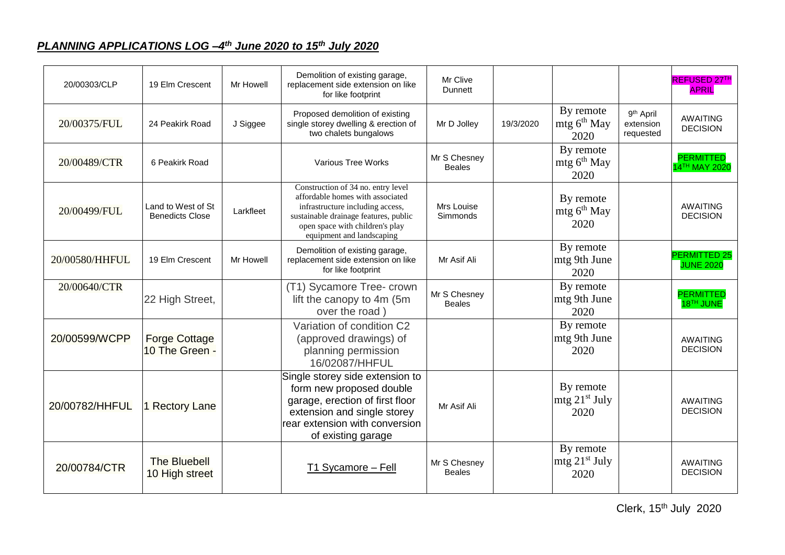## *PLANNING APPLICATIONS LOG –4 th June 2020 to 15th July 2020*

| 20/00303/CLP   | 19 Elm Crescent                              | Mr Howell | Demolition of existing garage,<br>replacement side extension on like<br>for like footprint                                                                                                                          | Mr Clive<br>Dunnett           |           |                                                |                                                 | REFUSED 27TH<br><b>APRIL</b>                  |
|----------------|----------------------------------------------|-----------|---------------------------------------------------------------------------------------------------------------------------------------------------------------------------------------------------------------------|-------------------------------|-----------|------------------------------------------------|-------------------------------------------------|-----------------------------------------------|
| 20/00375/FUL   | 24 Peakirk Road                              | J Siggee  | Proposed demolition of existing<br>single storey dwelling & erection of<br>two chalets bungalows                                                                                                                    | Mr D Jolley                   | 19/3/2020 | By remote<br>mtg $6^{th}$ May<br>2020          | 9 <sup>th</sup> April<br>extension<br>requested | <b>AWAITING</b><br><b>DECISION</b>            |
| 20/00489/CTR   | 6 Peakirk Road                               |           | Various Tree Works                                                                                                                                                                                                  | Mr S Chesney<br><b>Beales</b> |           | By remote<br>mtg 6 <sup>th</sup> May<br>2020   |                                                 | <b>PERMITTED</b><br>14 <sup>TH</sup> MAY 2020 |
| 20/00499/FUL   | Land to West of St<br><b>Benedicts Close</b> | Larkfleet | Construction of 34 no. entry level<br>affordable homes with associated<br>infrastructure including access,<br>sustainable drainage features, public<br>open space with children's play<br>equipment and landscaping | Mrs Louise<br>Simmonds        |           | By remote<br>mtg 6 <sup>th</sup> May<br>2020   |                                                 | <b>AWAITING</b><br><b>DECISION</b>            |
| 20/00580/HHFUL | 19 Elm Crescent                              | Mr Howell | Demolition of existing garage,<br>replacement side extension on like<br>for like footprint                                                                                                                          | Mr Asif Ali                   |           | By remote<br>mtg 9th June<br>2020              |                                                 | <b>PERMITTED 25</b><br><b>JUNE 2020</b>       |
| 20/00640/CTR   | 22 High Street,                              |           | (T1) Sycamore Tree- crown<br>lift the canopy to 4m (5m<br>over the road)                                                                                                                                            | Mr S Chesney<br><b>Beales</b> |           | By remote<br>mtg 9th June<br>2020              |                                                 | <b>PERMITTED</b><br>18TH JUNE                 |
| 20/00599/WCPP  | <b>Forge Cottage</b><br>10 The Green -       |           | Variation of condition C2<br>(approved drawings) of<br>planning permission<br>16/02087/HHFUL                                                                                                                        |                               |           | By remote<br>mtg 9th June<br>2020              |                                                 | <b>AWAITING</b><br><b>DECISION</b>            |
| 20/00782/HHFUL | 1 Rectory Lane                               |           | Single storey side extension to<br>form new proposed double<br>garage, erection of first floor<br>extension and single storey<br>rear extension with conversion<br>of existing garage                               | Mr Asif Ali                   |           | By remote<br>mfg 21 <sup>st</sup> July<br>2020 |                                                 | <b>AWAITING</b><br><b>DECISION</b>            |
| 20/00784/CTR   | <b>The Bluebell</b><br>10 High street        |           | T1 Sycamore - Fell                                                                                                                                                                                                  | Mr S Chesney<br><b>Beales</b> |           | By remote<br>$mtg 21st$ July<br>2020           |                                                 | <b>AWAITING</b><br><b>DECISION</b>            |

Clerk, 15<sup>th</sup> July 2020